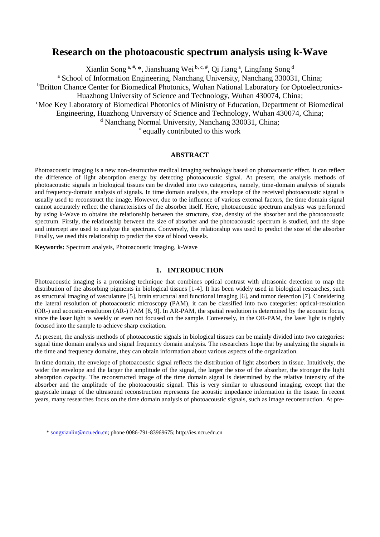# **Research on the photoacoustic spectrum analysis using k-Wave**

Xianlin Song <sup>a, #,</sup> \*, Jianshuang Wei <sup>b, c, #</sup>, Qi Jiang <sup>a</sup>, Lingfang Song <sup>d</sup>

<sup>a</sup> School of Information Engineering, Nanchang University, Nanchang 330031, China;

**Britton Chance Center for Biomedical Photonics, Wuhan National Laboratory for Optoelectronics-**Huazhong University of Science and Technology, Wuhan 430074, China;

<sup>c</sup>Moe Key Laboratory of Biomedical Photonics of Ministry of Education, Department of Biomedical

Engineering, Huazhong University of Science and Technology, Wuhan 430074, China;

<sup>d</sup> Nanchang Normal University, Nanchang 330031, China;

# equally contributed to this work

## **ABSTRACT**

Photoacoustic imaging is a new non-destructive medical imaging technology based on photoacoustic effect. It can reflect the difference of light absorption energy by detecting photoacoustic signal. At present, the analysis methods of photoacoustic signals in biological tissues can be divided into two categories, namely, time-domain analysis of signals and frequency-domain analysis of signals. In time domain analysis, the envelope of the received photoacoustic signal is usually used to reconstruct the image. However, due to the influence of various external factors, the time domain signal cannot accurately reflect the characteristics of the absorber itself. Here, photoacoustic spectrum analysis was performed by using k-Wave to obtains the relationship between the structure, size, density of the absorber and the photoacoustic spectrum. Firstly, the relationship between the size of absorber and the photoacoustic spectrum is studied, and the slope and intercept are used to analyze the spectrum. Conversely, the relationship was used to predict the size of the absorber Finally, we used this relationship to predict the size of blood vessels.

**Keywords:** Spectrum analysis, Photoacoustic imaging, k-Wave

# **1. INTRODUCTION**

Photoacoustic imaging is a promising technique that combines optical contrast with ultrasonic detection to map the distribution of the absorbing pigments in biological tissues [1-4]. It has been widely used in biological researches, such as structural imaging of vasculature [5], brain structural and functional imaging [6], and tumor detection [7]. Considering the lateral resolution of photoacoustic microscopy (PAM), it can be classified into two categories: optical-resolution (OR-) and acoustic-resolution (AR-) PAM [8, 9]. In AR-PAM, the spatial resolution is determined by the acoustic focus, since the laser light is weekly or even not focused on the sample. Conversely, in the OR-PAM, the laser light is tightly focused into the sample to achieve sharp excitation.

At present, the analysis methods of photoacoustic signals in biological tissues can be mainly divided into two categories: signal time domain analysis and signal frequency domain analysis. The researchers hope that by analyzing the signals in the time and frequency domains, they can obtain information about various aspects of the organization.

In time domain, the envelope of photoacoustic signal reflects the distribution of light absorbers in tissue. Intuitively, the wider the envelope and the larger the amplitude of the signal, the larger the size of the absorber, the stronger the light absorption capacity. The reconstructed image of the time domain signal is determined by the relative intensity of the absorber and the amplitude of the photoacoustic signal. This is very similar to ultrasound imaging, except that the grayscale image of the ultrasound reconstruction represents the acoustic impedance information in the tissue. In recent years, many researches focus on the time domain analysis of photoacoustic signals, such as image reconstruction. At pre-

[<sup>\\*</sup> songxianlin@ncu.edu.cn;](mailto:songxianlin@ncu.edu.cn) phone 0086-791-83969675; http://ies.ncu.edu.cn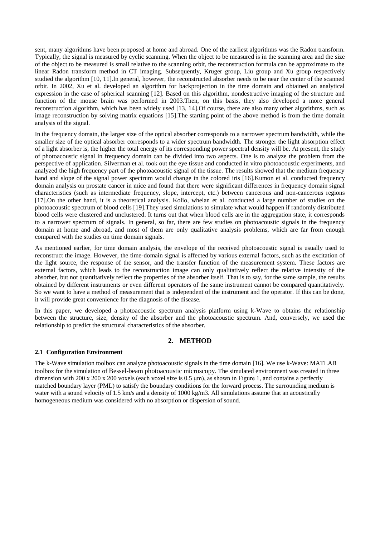sent, many algorithms have been proposed at home and abroad. One of the earliest algorithms was the Radon transform. Typically, the signal is measured by cyclic scanning. When the object to be measured is in the scanning area and the size of the object to be measured is small relative to the scanning orbit, the reconstruction formula can be approximate to the linear Radon transform method in CT imaging. Subsequently, Kruger group, Liu group and Xu group respectively studied the algorithm [10, 11].In general, however, the reconstructed absorber needs to be near the center of the scanned orbit. In 2002, Xu et al. developed an algorithm for backprojection in the time domain and obtained an analytical expression in the case of spherical scanning [12]. Based on this algorithm, nondestructive imaging of the structure and function of the mouse brain was performed in 2003.Then, on this basis, they also developed a more general reconstruction algorithm, which has been widely used [13, 14].Of course, there are also many other algorithms, such as image reconstruction by solving matrix equations [15].The starting point of the above method is from the time domain analysis of the signal.

In the frequency domain, the larger size of the optical absorber corresponds to a narrower spectrum bandwidth, while the smaller size of the optical absorber corresponds to a wider spectrum bandwidth. The stronger the light absorption effect of a light absorber is, the higher the total energy of its corresponding power spectral density will be. At present, the study of photoacoustic signal in frequency domain can be divided into two aspects. One is to analyze the problem from the perspective of application. Silverman et al. took out the eye tissue and conducted in vitro photoacoustic experiments, and analyzed the high frequency part of the photoacoustic signal of the tissue. The results showed that the medium frequency band and slope of the signal power spectrum would change in the colored iris [16].Kumon et al. conducted frequency domain analysis on prostate cancer in mice and found that there were significant differences in frequency domain signal characteristics (such as intermediate frequency, slope, intercept, etc.) between cancerous and non-cancerous regions [17].On the other hand, it is a theoretical analysis. Kolio, whelan et al. conducted a large number of studies on the photoacoustic spectrum of blood cells [19].They used simulations to simulate what would happen if randomly distributed blood cells were clustered and unclustered. It turns out that when blood cells are in the aggregation state, it corresponds to a narrower spectrum of signals. In general, so far, there are few studies on photoacoustic signals in the frequency domain at home and abroad, and most of them are only qualitative analysis problems, which are far from enough compared with the studies on time domain signals.

As mentioned earlier, for time domain analysis, the envelope of the received photoacoustic signal is usually used to reconstruct the image. However, the time-domain signal is affected by various external factors, such as the excitation of the light source, the response of the sensor, and the transfer function of the measurement system. These factors are external factors, which leads to the reconstruction image can only qualitatively reflect the relative intensity of the absorber, but not quantitatively reflect the properties of the absorber itself. That is to say, for the same sample, the results obtained by different instruments or even different operators of the same instrument cannot be compared quantitatively. So we want to have a method of measurement that is independent of the instrument and the operator. If this can be done, it will provide great convenience for the diagnosis of the disease.

In this paper, we developed a photoacoustic spectrum analysis platform using k-Wave to obtains the relationship between the structure, size, density of the absorber and the photoacoustic spectrum. And, conversely, we used the relationship to predict the structural characteristics of the absorber.

# **2. METHOD**

## **2.1 Configuration Environment**

The k-Wave simulation toolbox can analyze photoacoustic signals in the time domain [16]. We use k-Wave: MATLAB toolbox for the simulation of Bessel-beam photoacoustic microscopy. The simulated environment was created in three dimension with 200 x 200 x 200 voxels (each voxel size is 0.5 μm), as shown in Figure 1, and contains a perfectly matched boundary layer (PML) to satisfy the boundary conditions for the forward process. The surrounding medium is water with a sound velocity of 1.5 km/s and a density of 1000 kg/m3. All simulations assume that an acoustically homogeneous medium was considered with no absorption or dispersion of sound.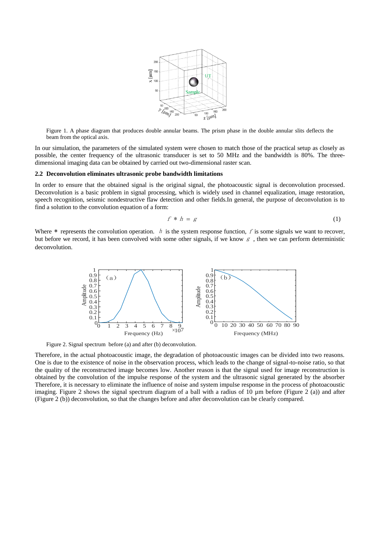

Figure 1. A phase diagram that produces double annular beams. The prism phase in the double annular slits deflects the beam from the optical axis.

In our simulation, the parameters of the simulated system were chosen to match those of the practical setup as closely as possible, the center frequency of the ultrasonic transducer is set to 50 MHz and the bandwidth is 80%. The threedimensional imaging data can be obtained by carried out two-dimensional raster scan.

#### **2.2 Deconvolution eliminates ultrasonic probe bandwidth limitations**

In order to ensure that the obtained signal is the original signal, the photoacoustic signal is deconvolution processed. Deconvolution is a basic problem in signal processing, which is widely used in channel equalization, image restoration, speech recognition, seismic nondestructive flaw detection and other fields.In general, the purpose of deconvolution is to find a solution to the convolution equation of a form:

$$
f * h = g \tag{1}
$$

Where  $*$  represents the convolution operation.  $h$  is the system response function,  $f$  is some signals we want to recover, but before we record, it has been convolved with some other signals, if we know  $g$ , then we can perform deterministic deconvolution.



Figure 2. Signal spectrum before (a) and after (b) deconvolution.

Therefore, in the actual photoacoustic image, the degradation of photoacoustic images can be divided into two reasons. One is due to the existence of noise in the observation process, which leads to the change of signal-to-noise ratio, so that the quality of the reconstructed image becomes low. Another reason is that the signal used for image reconstruction is obtained by the convolution of the impulse response of the system and the ultrasonic signal generated by the absorber Therefore, it is necessary to eliminate the influence of noise and system impulse response in the process of photoacoustic imaging. Figure 2 shows the signal spectrum diagram of a ball with a radius of 10 µm before (Figure 2 (a)) and after (Figure 2 (b)) deconvolution, so that the changes before and after deconvolution can be clearly compared.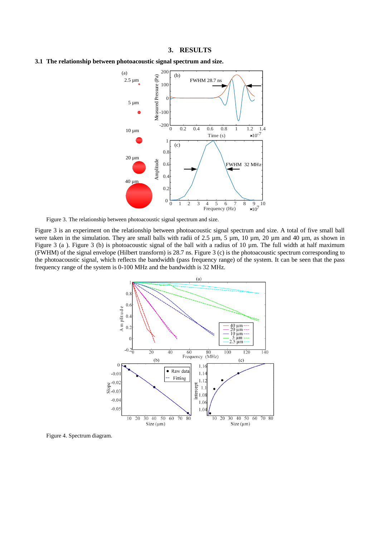#### **3. RESULTS**





Figure 3. The relationship between photoacoustic signal spectrum and size.

Figure 3 is an experiment on the relationship between photoacoustic signal spectrum and size. A total of five small ball were taken in the simulation. They are small balls with radii of 2.5  $\mu$ m, 5  $\mu$ m, 10  $\mu$ m, 20  $\mu$ m and 40  $\mu$ m, as shown in Figure 3 (a). Figure 3 (b) is photoacoustic signal of the ball with a radius of 10 µm. The full width at half maximum (FWHM) of the signal envelope (Hilbert transform) is 28.7 ns. Figure 3 (c) is the photoacoustic spectrum corresponding to the photoacoustic signal, which reflects the bandwidth (pass frequency range) of the system. It can be seen that the pass frequency range of the system is 0-100 MHz and the bandwidth is 32 MHz.



Figure 4. Spectrum diagram.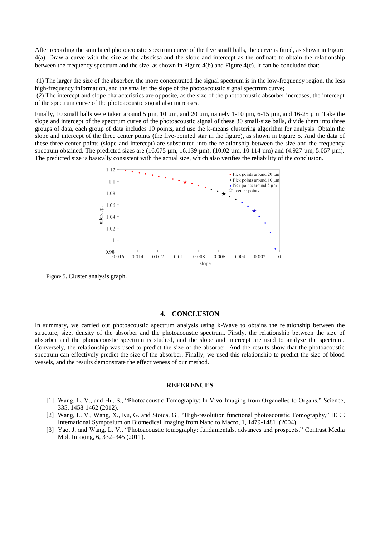After recording the simulated photoacoustic spectrum curve of the five small balls, the curve is fitted, as shown in Figure 4(a). Draw a curve with the size as the abscissa and the slope and intercept as the ordinate to obtain the relationship between the frequency spectrum and the size, as shown in Figure 4(b) and Figure 4(c). It can be concluded that:

(1) The larger the size of the absorber, the more concentrated the signal spectrum is in the low-frequency region, the less high-frequency information, and the smaller the slope of the photoacoustic signal spectrum curve;

(2) The intercept and slope characteristics are opposite, as the size of the photoacoustic absorber increases, the intercept of the spectrum curve of the photoacoustic signal also increases.

Finally, 10 small balls were taken around 5 µm, 10 µm, and 20 µm, namely 1-10 µm, 6-15 µm, and 16-25 µm. Take the slope and intercept of the spectrum curve of the photoacoustic signal of these 30 small-size balls, divide them into three groups of data, each group of data includes 10 points, and use the k-means clustering algorithm for analysis. Obtain the slope and intercept of the three center points (the five-pointed star in the figure), as shown in Figure 5. And the data of these three center points (slope and intercept) are substituted into the relationship between the size and the frequency spectrum obtained. The predicted sizes are (16.075 µm, 16.139 µm), (10.02 µm, 10.114 µm) and (4.927 µm, 5.057 µm). The predicted size is basically consistent with the actual size, which also verifies the reliability of the conclusion.



Figure 5. Cluster analysis graph.

## **4. CONCLUSION**

In summary, we carried out photoacoustic spectrum analysis using k-Wave to obtains the relationship between the structure, size, density of the absorber and the photoacoustic spectrum. Firstly, the relationship between the size of absorber and the photoacoustic spectrum is studied, and the slope and intercept are used to analyze the spectrum. Conversely, the relationship was used to predict the size of the absorber. And the results show that the photoacoustic spectrum can effectively predict the size of the absorber. Finally, we used this relationship to predict the size of blood vessels, and the results demonstrate the effectiveness of our method.

### **REFERENCES**

- [1] Wang, L. V., and Hu, S., "Photoacoustic Tomography: In Vivo Imaging from Organelles to Organs," Science, 335, 1458-1462 (2012).
- [2] Wang, L. V., Wang, X., Ku, G. and Stoica, G., "High-resolution functional photoacoustic Tomography," IEEE International Symposium on Biomedical Imaging from Nano to Macro, 1, 1479-1481 (2004).
- [3] Yao, J. and Wang, L. V., "Photoacoustic tomography: fundamentals, advances and prospects," Contrast Media Mol. Imaging, 6, 332–345 (2011).